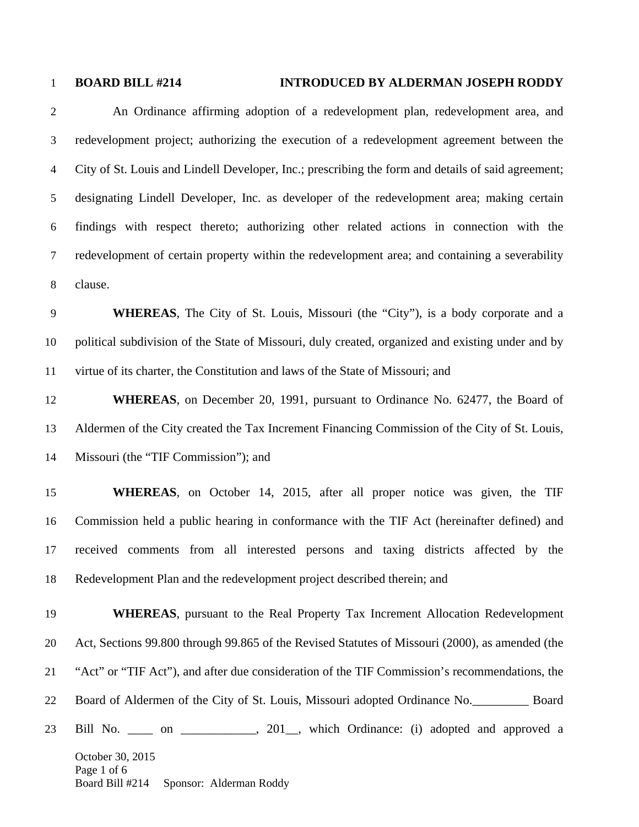## 1 **BOARD BILL #214 INTRODUCED BY ALDERMAN JOSEPH RODDY**

2 An Ordinance affirming adoption of a redevelopment plan, redevelopment area, and 3 redevelopment project; authorizing the execution of a redevelopment agreement between the 4 City of St. Louis and Lindell Developer, Inc.; prescribing the form and details of said agreement; 5 designating Lindell Developer, Inc. as developer of the redevelopment area; making certain 6 findings with respect thereto; authorizing other related actions in connection with the 7 redevelopment of certain property within the redevelopment area; and containing a severability 8 clause.

9 **WHEREAS**, The City of St. Louis, Missouri (the "City"), is a body corporate and a 10 political subdivision of the State of Missouri, duly created, organized and existing under and by 11 virtue of its charter, the Constitution and laws of the State of Missouri; and

12 **WHEREAS**, on December 20, 1991, pursuant to Ordinance No. 62477, the Board of 13 Aldermen of the City created the Tax Increment Financing Commission of the City of St. Louis, 14 Missouri (the "TIF Commission"); and

15 **WHEREAS**, on October 14, 2015, after all proper notice was given, the TIF 16 Commission held a public hearing in conformance with the TIF Act (hereinafter defined) and 17 received comments from all interested persons and taxing districts affected by the 18 Redevelopment Plan and the redevelopment project described therein; and

October 30, 2015 Page 1 of 6 19 **WHEREAS**, pursuant to the Real Property Tax Increment Allocation Redevelopment 20 Act, Sections 99.800 through 99.865 of the Revised Statutes of Missouri (2000), as amended (the 21 "Act" or "TIF Act"), and after due consideration of the TIF Commission's recommendations, the 22 Board of Aldermen of the City of St. Louis, Missouri adopted Ordinance No.\_\_\_\_\_\_\_\_\_ Board 23 Bill No. \_\_\_\_ on \_\_\_\_\_\_\_\_\_\_, 201\_\_, which Ordinance: (i) adopted and approved a

Board Bill #214 Sponsor: Alderman Roddy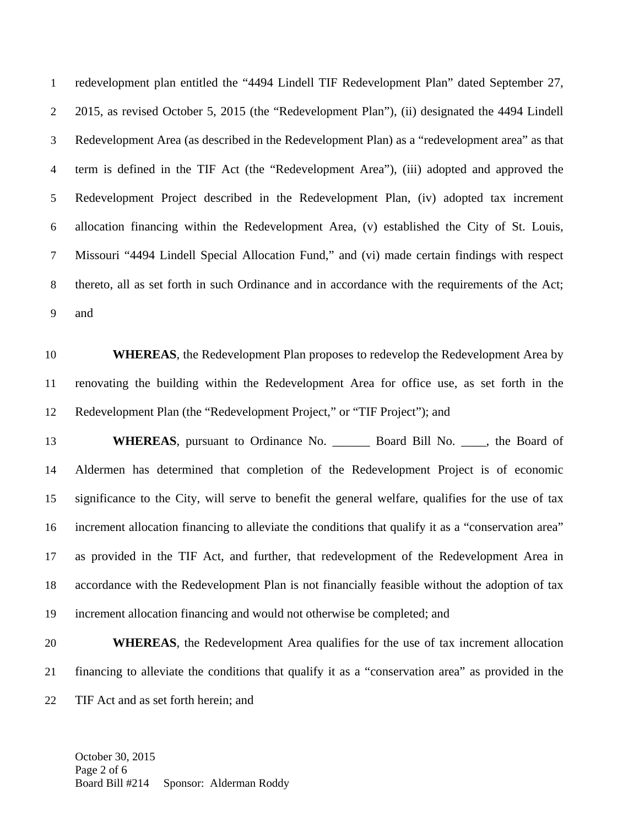1 redevelopment plan entitled the "4494 Lindell TIF Redevelopment Plan" dated September 27, 2 2015, as revised October 5, 2015 (the "Redevelopment Plan"), (ii) designated the 4494 Lindell 3 Redevelopment Area (as described in the Redevelopment Plan) as a "redevelopment area" as that 4 term is defined in the TIF Act (the "Redevelopment Area"), (iii) adopted and approved the 5 Redevelopment Project described in the Redevelopment Plan, (iv) adopted tax increment 6 allocation financing within the Redevelopment Area, (v) established the City of St. Louis, 7 Missouri "4494 Lindell Special Allocation Fund," and (vi) made certain findings with respect 8 thereto, all as set forth in such Ordinance and in accordance with the requirements of the Act; 9 and

10 **WHEREAS**, the Redevelopment Plan proposes to redevelop the Redevelopment Area by 11 renovating the building within the Redevelopment Area for office use, as set forth in the 12 Redevelopment Plan (the "Redevelopment Project," or "TIF Project"); and

13 **WHEREAS**, pursuant to Ordinance No. \_\_\_\_\_\_\_ Board Bill No. \_\_\_\_, the Board of 14 Aldermen has determined that completion of the Redevelopment Project is of economic 15 significance to the City, will serve to benefit the general welfare, qualifies for the use of tax 16 increment allocation financing to alleviate the conditions that qualify it as a "conservation area" 17 as provided in the TIF Act, and further, that redevelopment of the Redevelopment Area in 18 accordance with the Redevelopment Plan is not financially feasible without the adoption of tax 19 increment allocation financing and would not otherwise be completed; and

20 **WHEREAS**, the Redevelopment Area qualifies for the use of tax increment allocation 21 financing to alleviate the conditions that qualify it as a "conservation area" as provided in the 22 TIF Act and as set forth herein; and

October 30, 2015 Page 2 of 6 Board Bill #214 Sponsor: Alderman Roddy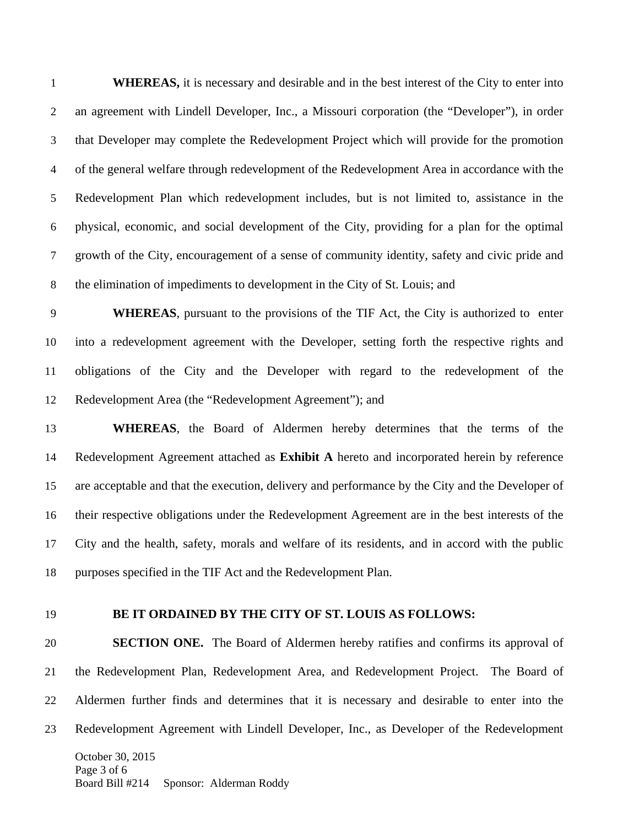1 **WHEREAS,** it is necessary and desirable and in the best interest of the City to enter into 2 an agreement with Lindell Developer, Inc., a Missouri corporation (the "Developer"), in order 3 that Developer may complete the Redevelopment Project which will provide for the promotion 4 of the general welfare through redevelopment of the Redevelopment Area in accordance with the 5 Redevelopment Plan which redevelopment includes, but is not limited to, assistance in the 6 physical, economic, and social development of the City, providing for a plan for the optimal 7 growth of the City, encouragement of a sense of community identity, safety and civic pride and 8 the elimination of impediments to development in the City of St. Louis; and

9 **WHEREAS**, pursuant to the provisions of the TIF Act, the City is authorized to enter 10 into a redevelopment agreement with the Developer, setting forth the respective rights and 11 obligations of the City and the Developer with regard to the redevelopment of the 12 Redevelopment Area (the "Redevelopment Agreement"); and

13 **WHEREAS**, the Board of Aldermen hereby determines that the terms of the 14 Redevelopment Agreement attached as **Exhibit A** hereto and incorporated herein by reference 15 are acceptable and that the execution, delivery and performance by the City and the Developer of 16 their respective obligations under the Redevelopment Agreement are in the best interests of the 17 City and the health, safety, morals and welfare of its residents, and in accord with the public 18 purposes specified in the TIF Act and the Redevelopment Plan.

## 19 **BE IT ORDAINED BY THE CITY OF ST. LOUIS AS FOLLOWS:**

October 30, 2015 Page 3 of 6 20 **SECTION ONE.** The Board of Aldermen hereby ratifies and confirms its approval of 21 the Redevelopment Plan, Redevelopment Area, and Redevelopment Project. The Board of 22 Aldermen further finds and determines that it is necessary and desirable to enter into the 23 Redevelopment Agreement with Lindell Developer, Inc., as Developer of the Redevelopment

Board Bill #214 Sponsor: Alderman Roddy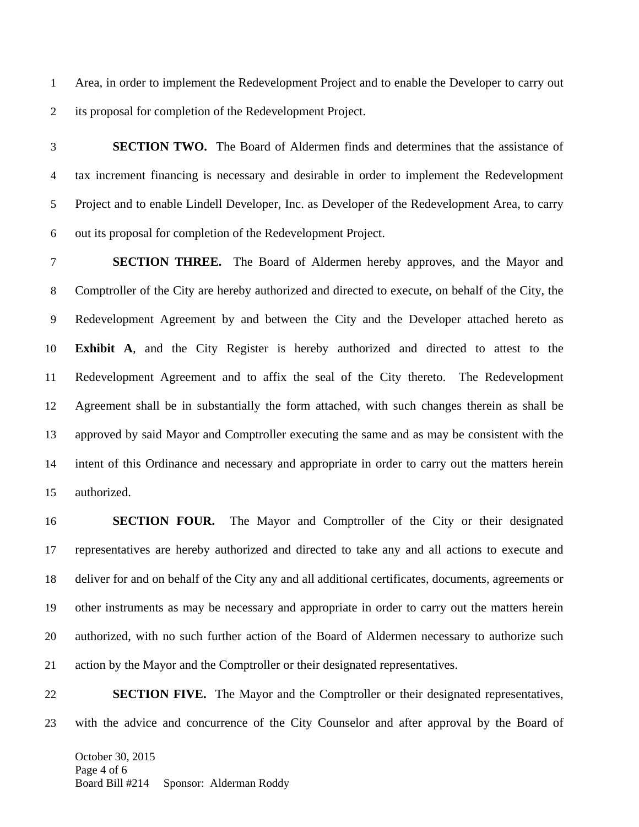1 Area, in order to implement the Redevelopment Project and to enable the Developer to carry out 2 its proposal for completion of the Redevelopment Project.

3 **SECTION TWO.** The Board of Aldermen finds and determines that the assistance of 4 tax increment financing is necessary and desirable in order to implement the Redevelopment 5 Project and to enable Lindell Developer, Inc. as Developer of the Redevelopment Area, to carry 6 out its proposal for completion of the Redevelopment Project.

7 **SECTION THREE.** The Board of Aldermen hereby approves, and the Mayor and 8 Comptroller of the City are hereby authorized and directed to execute, on behalf of the City, the 9 Redevelopment Agreement by and between the City and the Developer attached hereto as 10 **Exhibit A**, and the City Register is hereby authorized and directed to attest to the 11 Redevelopment Agreement and to affix the seal of the City thereto. The Redevelopment 12 Agreement shall be in substantially the form attached, with such changes therein as shall be 13 approved by said Mayor and Comptroller executing the same and as may be consistent with the 14 intent of this Ordinance and necessary and appropriate in order to carry out the matters herein 15 authorized.

16 **SECTION FOUR.** The Mayor and Comptroller of the City or their designated 17 representatives are hereby authorized and directed to take any and all actions to execute and 18 deliver for and on behalf of the City any and all additional certificates, documents, agreements or 19 other instruments as may be necessary and appropriate in order to carry out the matters herein 20 authorized, with no such further action of the Board of Aldermen necessary to authorize such 21 action by the Mayor and the Comptroller or their designated representatives.

22 **SECTION FIVE.** The Mayor and the Comptroller or their designated representatives, 23 with the advice and concurrence of the City Counselor and after approval by the Board of

October 30, 2015 Page 4 of 6 Board Bill #214 Sponsor: Alderman Roddy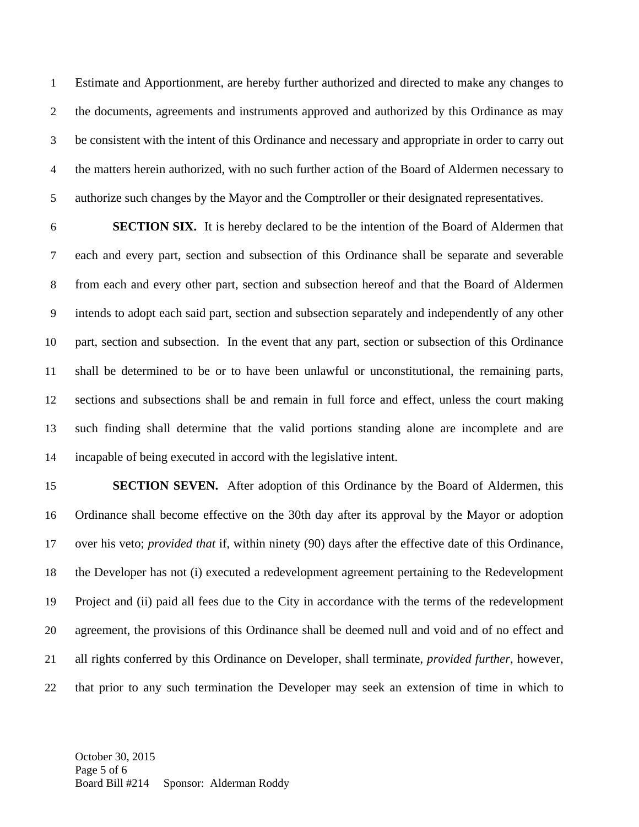1 Estimate and Apportionment, are hereby further authorized and directed to make any changes to 2 the documents, agreements and instruments approved and authorized by this Ordinance as may 3 be consistent with the intent of this Ordinance and necessary and appropriate in order to carry out 4 the matters herein authorized, with no such further action of the Board of Aldermen necessary to 5 authorize such changes by the Mayor and the Comptroller or their designated representatives.

6 **SECTION SIX.** It is hereby declared to be the intention of the Board of Aldermen that 7 each and every part, section and subsection of this Ordinance shall be separate and severable 8 from each and every other part, section and subsection hereof and that the Board of Aldermen 9 intends to adopt each said part, section and subsection separately and independently of any other 10 part, section and subsection. In the event that any part, section or subsection of this Ordinance 11 shall be determined to be or to have been unlawful or unconstitutional, the remaining parts, 12 sections and subsections shall be and remain in full force and effect, unless the court making 13 such finding shall determine that the valid portions standing alone are incomplete and are 14 incapable of being executed in accord with the legislative intent.

15 **SECTION SEVEN.** After adoption of this Ordinance by the Board of Aldermen, this 16 Ordinance shall become effective on the 30th day after its approval by the Mayor or adoption 17 over his veto; *provided that* if, within ninety (90) days after the effective date of this Ordinance, 18 the Developer has not (i) executed a redevelopment agreement pertaining to the Redevelopment 19 Project and (ii) paid all fees due to the City in accordance with the terms of the redevelopment 20 agreement, the provisions of this Ordinance shall be deemed null and void and of no effect and 21 all rights conferred by this Ordinance on Developer, shall terminate, *provided further*, however, 22 that prior to any such termination the Developer may seek an extension of time in which to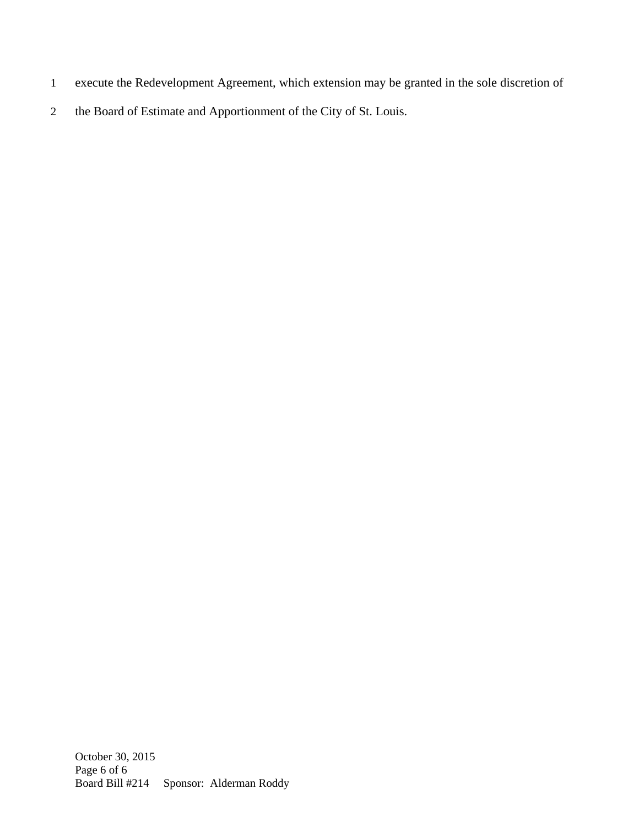- 1 execute the Redevelopment Agreement, which extension may be granted in the sole discretion of
- 2 the Board of Estimate and Apportionment of the City of St. Louis.